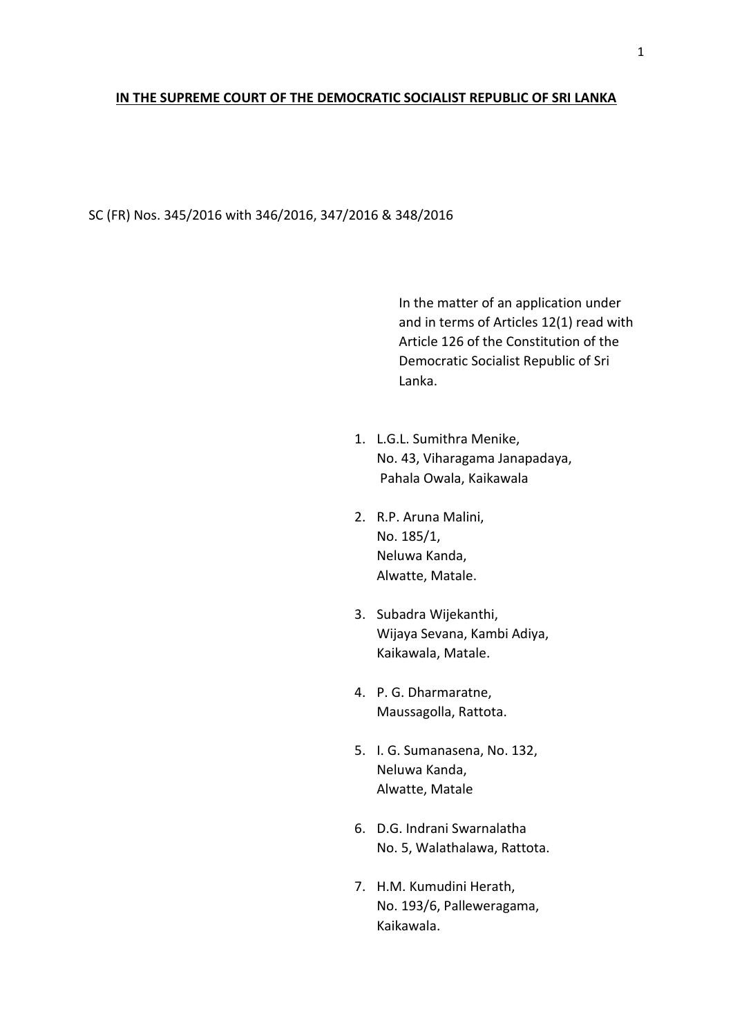### **IN THE SUPREME COURT OF THE DEMOCRATIC SOCIALIST REPUBLIC OF SRI LANKA**

#### SC (FR) Nos. 345/2016 with 346/2016, 347/2016 & 348/2016

In the matter of an application under and in terms of Articles 12(1) read with Article 126 of the Constitution of the Democratic Socialist Republic of Sri Lanka.

- 1. L.G.L. Sumithra Menike, No. 43, Viharagama Janapadaya, Pahala Owala, Kaikawala
- 2. R.P. Aruna Malini, No. 185/1, Neluwa Kanda, Alwatte, Matale.
- 3. Subadra Wijekanthi, Wijaya Sevana, Kambi Adiya, Kaikawala, Matale.
- 4. P. G. Dharmaratne, Maussagolla, Rattota.
- 5. I. G. Sumanasena, No. 132, Neluwa Kanda, Alwatte, Matale
- 6. D.G. Indrani Swarnalatha No. 5, Walathalawa, Rattota.
- 7. H.M. Kumudini Herath, No. 193/6, Palleweragama, Kaikawala.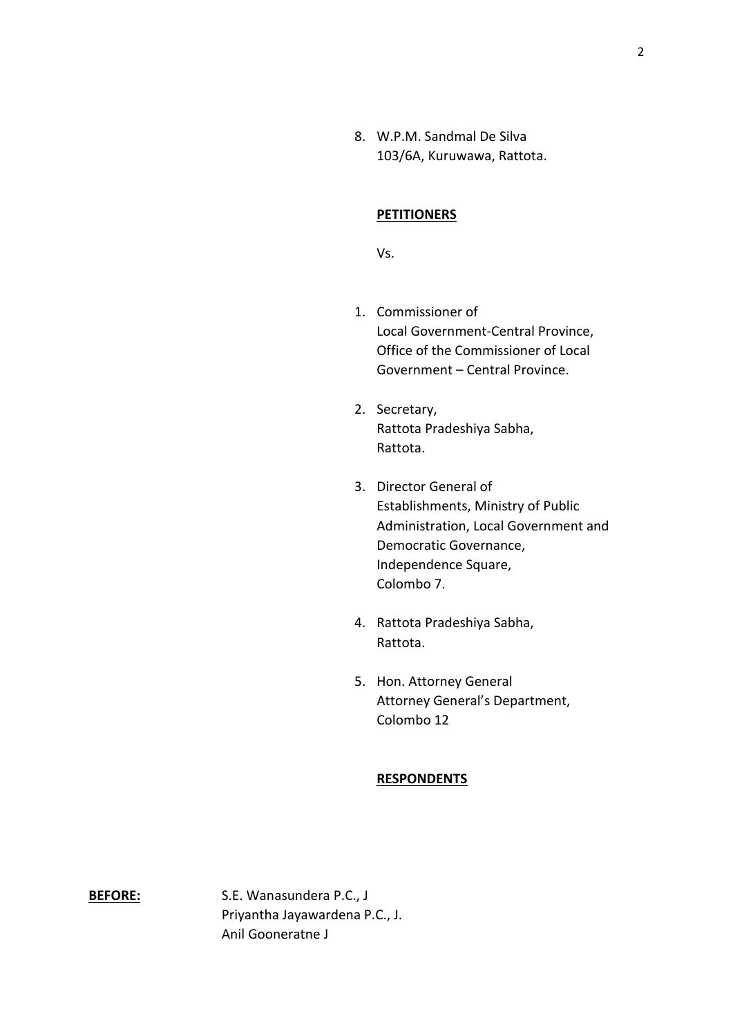8. W.P.M. Sandmal De Silva 103/6A, Kuruwawa, Rattota.

# **PETITIONERS**

Vs.

- 1. Commissioner of Local Government-Central Province, Office of the Commissioner of Local Government – Central Province.
- 2. Secretary, Rattota Pradeshiya Sabha, Rattota.
- 3. Director General of Establishments, Ministry of Public Administration, Local Government and Democratic Governance, Independence Square, Colombo 7.
- 4. Rattota Pradeshiya Sabha, Rattota.
- 5. Hon. Attorney General Attorney General's Department, Colombo 12

# **RESPONDENTS**

**BEFORE:** S.E. Wanasundera P.C., J Priyantha Jayawardena P.C., J. Anil Gooneratne J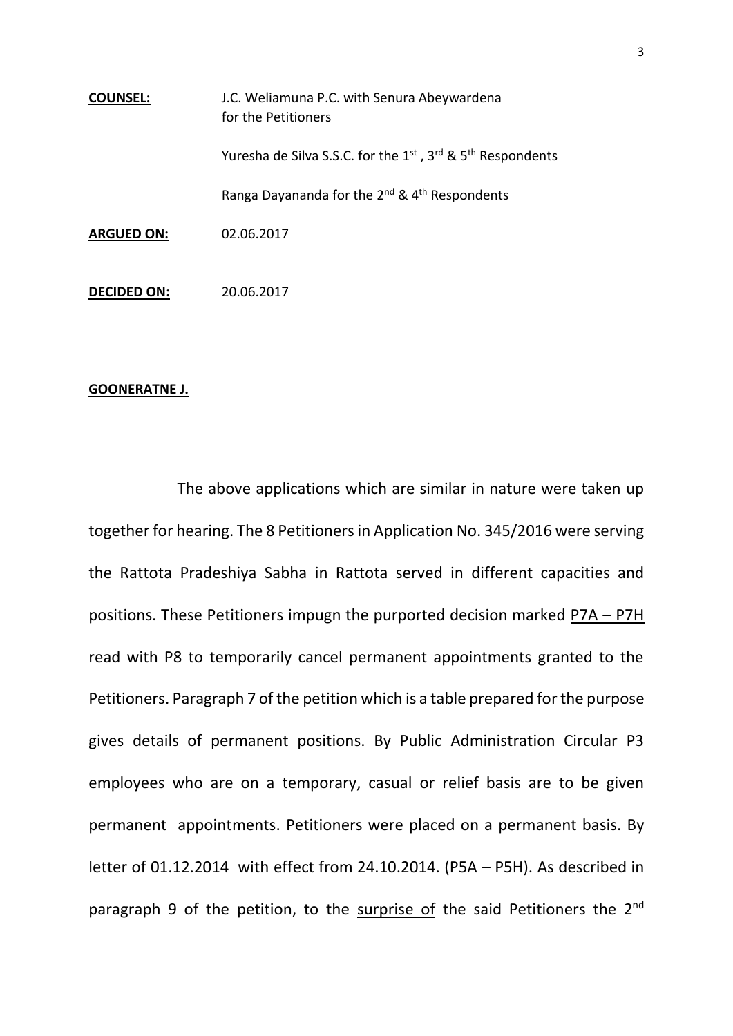| <b>COUNSEL:</b>    | J.C. Weliamuna P.C. with Senura Abeywardena<br>for the Petitioners     |
|--------------------|------------------------------------------------------------------------|
|                    | Yuresha de Silva S.S.C. for the 1st, 3rd & 5 <sup>th</sup> Respondents |
|                    | Ranga Dayananda for the 2 <sup>nd</sup> & 4 <sup>th</sup> Respondents  |
| <b>ARGUED ON:</b>  | 02.06.2017                                                             |
| <b>DECIDED ON:</b> | 20.06.2017                                                             |

### **GOONERATNE J.**

The above applications which are similar in nature were taken up together for hearing. The 8 Petitioners in Application No. 345/2016 were serving the Rattota Pradeshiya Sabha in Rattota served in different capacities and positions. These Petitioners impugn the purported decision marked P7A – P7H read with P8 to temporarily cancel permanent appointments granted to the Petitioners. Paragraph 7 of the petition which is a table prepared for the purpose gives details of permanent positions. By Public Administration Circular P3 employees who are on a temporary, casual or relief basis are to be given permanent appointments. Petitioners were placed on a permanent basis. By letter of 01.12.2014 with effect from 24.10.2014. (P5A – P5H). As described in paragraph 9 of the petition, to the surprise of the said Petitioners the 2<sup>nd</sup>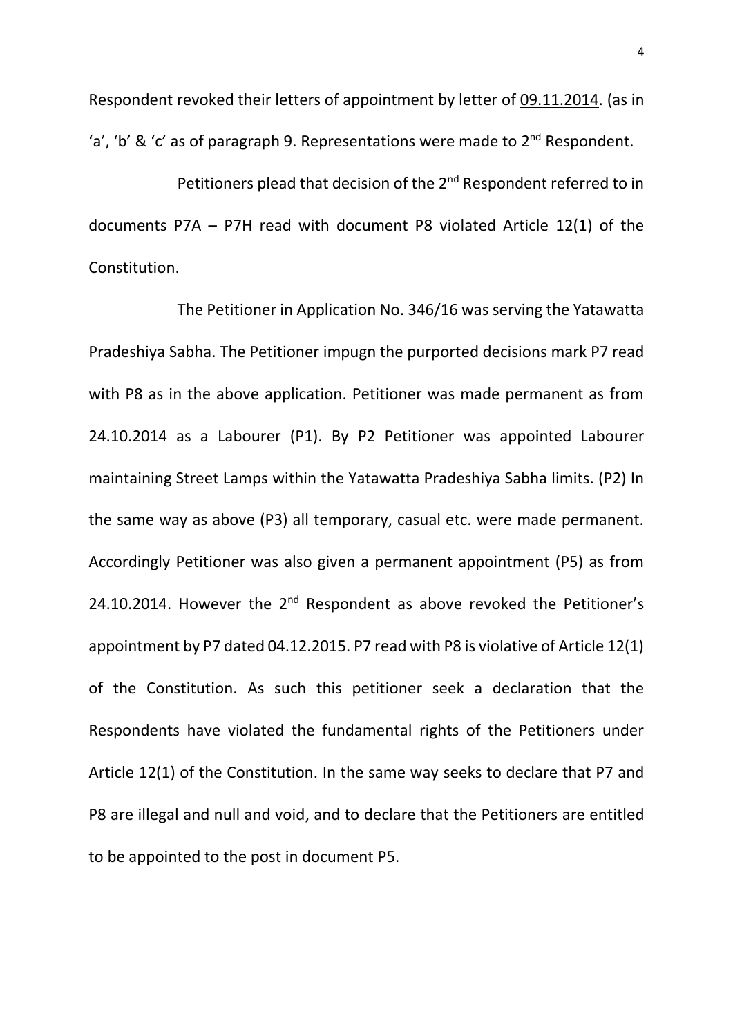Respondent revoked their letters of appointment by letter of 09.11.2014. (as in 'a', 'b' & 'c' as of paragraph 9. Representations were made to  $2^{nd}$  Respondent.

Petitioners plead that decision of the 2<sup>nd</sup> Respondent referred to in documents P7A – P7H read with document P8 violated Article 12(1) of the Constitution.

The Petitioner in Application No. 346/16 was serving the Yatawatta Pradeshiya Sabha. The Petitioner impugn the purported decisions mark P7 read with P8 as in the above application. Petitioner was made permanent as from 24.10.2014 as a Labourer (P1). By P2 Petitioner was appointed Labourer maintaining Street Lamps within the Yatawatta Pradeshiya Sabha limits. (P2) In the same way as above (P3) all temporary, casual etc. were made permanent. Accordingly Petitioner was also given a permanent appointment (P5) as from 24.10.2014. However the  $2^{nd}$  Respondent as above revoked the Petitioner's appointment by P7 dated 04.12.2015. P7 read with P8 is violative of Article 12(1) of the Constitution. As such this petitioner seek a declaration that the Respondents have violated the fundamental rights of the Petitioners under Article 12(1) of the Constitution. In the same way seeks to declare that P7 and P8 are illegal and null and void, and to declare that the Petitioners are entitled to be appointed to the post in document P5.